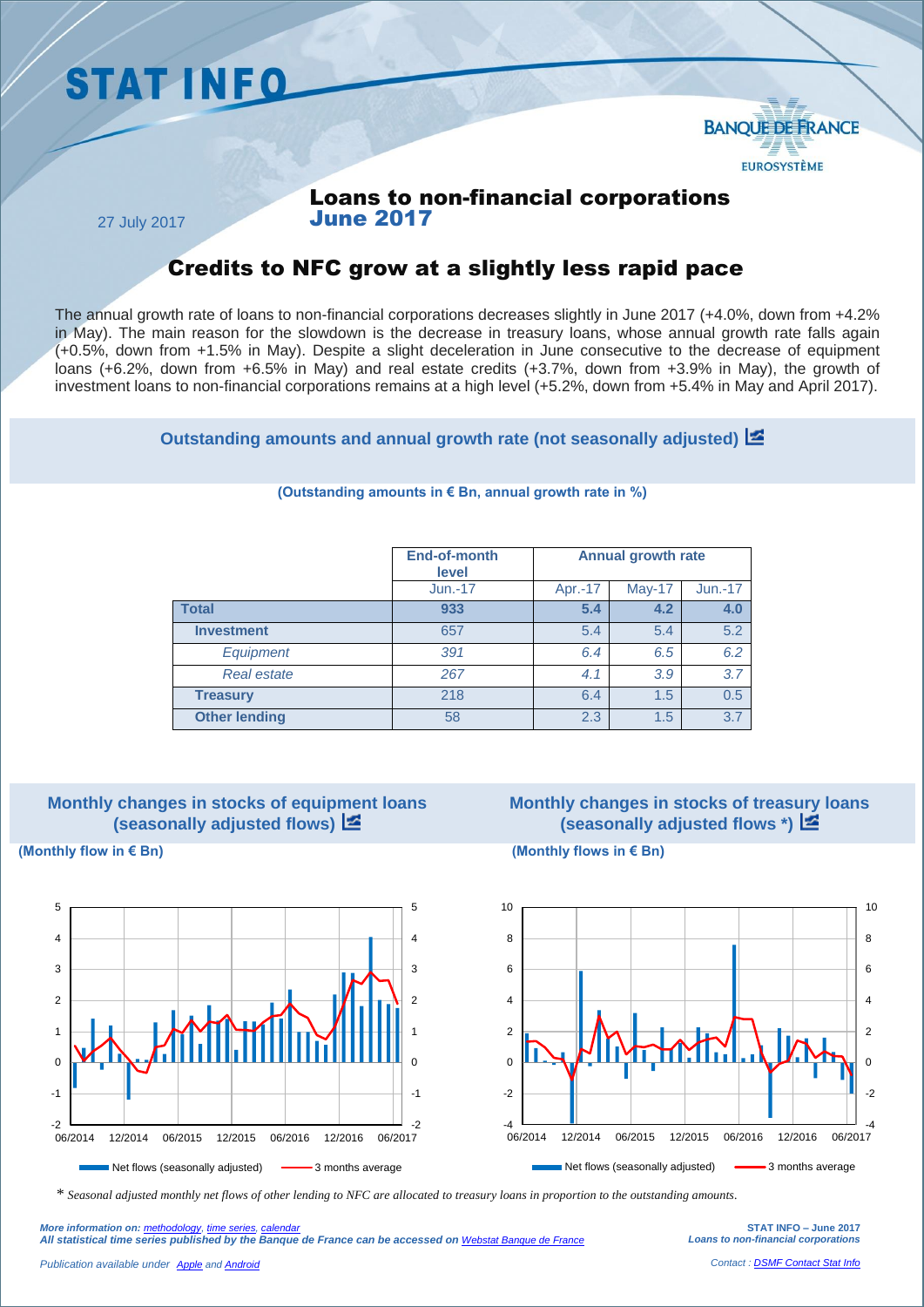



### Loans to non-financial corporations June 2017

27 July 2017

## Credits to NFC grow at a slightly less rapid pace

The annual growth rate of loans to non-financial corporations decreases slightly in June 2017 (+4.0%, down from +4.2% in May). The main reason for the slowdown is the decrease in treasury loans, whose annual growth rate falls again (+0.5%, down from +1.5% in May). Despite a slight deceleration in June consecutive to the decrease of equipment loans (+6.2%, down from +6.5% in May) and real estate credits (+3.7%, down from +3.9% in May), the growth of investment loans to non-financial corporations remains at a high level (+5.2%, down from +5.4% in May and April 2017).

**Outstanding amounts and annual growth rate (not seasonally adjusted)**

|                      | <b>End-of-month</b><br>level | <b>Annual growth rate</b> |        |           |
|----------------------|------------------------------|---------------------------|--------|-----------|
|                      | $Jun.-17$                    | Apr.-17                   | May-17 | $Jun.-17$ |
| <b>Total</b>         | 933                          | 5.4                       | 4.2    | 4.0       |
| <b>Investment</b>    | 657                          | 5.4                       | 5.4    | 5.2       |
| <b>Equipment</b>     | 391                          | 6.4                       | 6.5    | 6.2       |
| <b>Real estate</b>   | 267                          | 4.1                       | 3.9    | 3.7       |
| <b>Treasury</b>      | 218                          | 6.4                       | 1.5    | 0.5       |
| <b>Other lending</b> | 58                           | 2.3                       | 1.5    | 3.7       |

#### **(Outstanding amounts in € Bn, annual growth rate in %)**



# **Monthly changes in stocks of treasury loans (seasonally adjusted flows \*)**

**(Monthly flow in € Bn) (Monthly flows in € Bn)**





*\* Seasonal adjusted monthly net flows of other lending to NFC are allocated to treasury loans in proportion to the outstanding amounts.*

**STAT INFO – June 2017** *Loans to non-financial corporations*